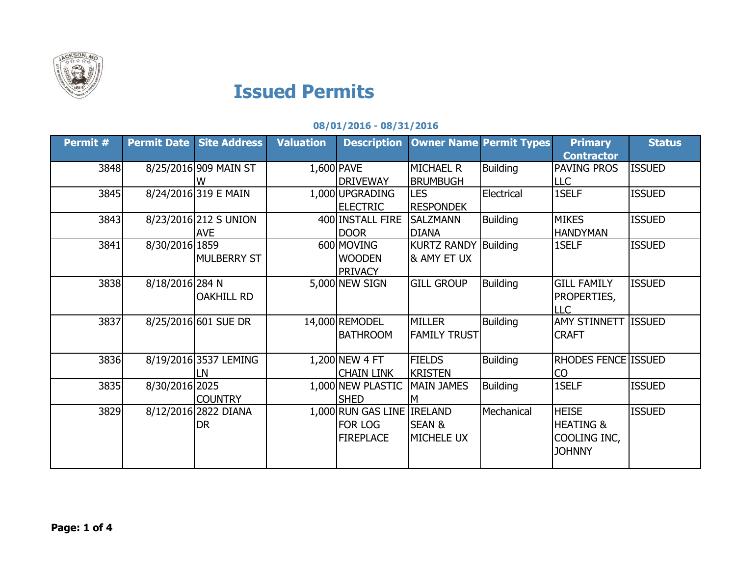

## **Issued Permits**

## **08/01/2016 - 08/31/2016**

| Permit # | <b>Permit Date</b> | <b>Site Address</b>   | <b>Valuation</b> | <b>Description</b>         | <b>Owner Name Permit Types</b> |                 | <b>Primary</b>             | <b>Status</b> |
|----------|--------------------|-----------------------|------------------|----------------------------|--------------------------------|-----------------|----------------------------|---------------|
|          |                    |                       |                  |                            |                                |                 | <b>Contractor</b>          |               |
| 3848     |                    | 8/25/2016 909 MAIN ST |                  | 1,600 PAVE                 | <b>MICHAEL R</b>               | <b>Building</b> | PAVING PROS                | <b>ISSUED</b> |
|          |                    | w                     |                  | <b>DRIVEWAY</b>            | <b>BRUMBUGH</b>                |                 | <b>LLC</b>                 |               |
| 3845     |                    | 8/24/2016 319 E MAIN  |                  | 1,000 UPGRADING            | <b>LES</b>                     | Electrical      | 1SELF                      | <b>ISSUED</b> |
|          |                    |                       |                  | <b>ELECTRIC</b>            | <b>RESPONDEK</b>               |                 |                            |               |
| 3843     |                    | 8/23/2016 212 S UNION |                  | 400 INSTALL FIRE           | <b>SALZMANN</b>                | <b>Building</b> | <b>MIKES</b>               | <b>ISSUED</b> |
|          |                    | <b>AVE</b>            |                  | <b>DOOR</b>                | <b>DIANA</b>                   |                 | <b>HANDYMAN</b>            |               |
| 3841     | 8/30/2016 1859     |                       |                  | 600 MOVING                 | <b>KURTZ RANDY Building</b>    |                 | 1SELF                      | <b>ISSUED</b> |
|          |                    | <b>MULBERRY ST</b>    |                  | <b>WOODEN</b>              | & AMY ET UX                    |                 |                            |               |
|          |                    |                       |                  | <b>PRIVACY</b>             |                                |                 |                            |               |
| 3838     | 8/18/2016 284 N    |                       |                  | 5,000 NEW SIGN             | <b>GILL GROUP</b>              | <b>Building</b> | <b>GILL FAMILY</b>         | <b>ISSUED</b> |
|          |                    | <b>OAKHILL RD</b>     |                  |                            |                                |                 | PROPERTIES,                |               |
|          |                    |                       |                  |                            |                                |                 | <b>LLC</b>                 |               |
| 3837     |                    | 8/25/2016 601 SUE DR  |                  | 14,000 REMODEL             | <b>MILLER</b>                  | <b>Building</b> | <b>AMY STINNETT</b>        | <b>ISSUED</b> |
|          |                    |                       |                  | <b>BATHROOM</b>            | <b>FAMILY TRUST</b>            |                 | <b>CRAFT</b>               |               |
|          |                    |                       |                  |                            |                                |                 |                            |               |
| 3836     |                    | 8/19/2016 3537 LEMING |                  | 1,200 NEW 4 FT             | <b>FIELDS</b>                  | <b>Building</b> | <b>RHODES FENCE ISSUED</b> |               |
|          |                    | LN                    |                  | Chain Link                 | <b>KRISTEN</b>                 |                 | <b>CO</b>                  |               |
| 3835     | 8/30/2016 2025     |                       |                  | 1,000 NEW PLASTIC          | MAIN JAMES                     | <b>Building</b> | 1SELF                      | <b>ISSUED</b> |
|          |                    | <b>COUNTRY</b>        |                  | <b>SHED</b>                | M                              |                 |                            |               |
| 3829     |                    | 8/12/2016 2822 DIANA  |                  | 1,000 RUN GAS LINE IRELAND |                                | Mechanical      | <b>HEISE</b>               | <b>ISSUED</b> |
|          |                    | DR                    |                  | FOR LOG                    | <b>SEAN &amp;</b>              |                 | <b>HEATING &amp;</b>       |               |
|          |                    |                       |                  | <b>FIREPLACE</b>           | <b>MICHELE UX</b>              |                 | COOLING INC,               |               |
|          |                    |                       |                  |                            |                                |                 | <b>JOHNNY</b>              |               |
|          |                    |                       |                  |                            |                                |                 |                            |               |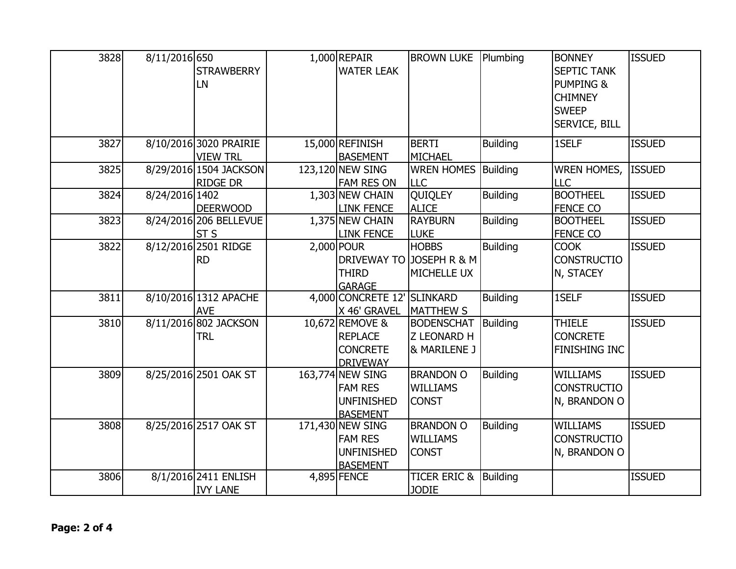| 3828 | 8/11/2016 650  |                        | $1,000$ REPAIR              | <b>BROWN LUKE</b>       | Plumbing        | <b>BONNEY</b>        | <b>ISSUED</b> |
|------|----------------|------------------------|-----------------------------|-------------------------|-----------------|----------------------|---------------|
|      |                | <b>STRAWBERRY</b>      | <b>WATER LEAK</b>           |                         |                 | <b>SEPTIC TANK</b>   |               |
|      |                | LN                     |                             |                         |                 | <b>PUMPING &amp;</b> |               |
|      |                |                        |                             |                         |                 | <b>CHIMNEY</b>       |               |
|      |                |                        |                             |                         |                 | <b>SWEEP</b>         |               |
|      |                |                        |                             |                         |                 | SERVICE, BILL        |               |
| 3827 |                | 8/10/2016 3020 PRAIRIE | 15,000 REFINISH             | <b>BERTI</b>            | <b>Building</b> | 1SELF                | <b>ISSUED</b> |
|      |                | <b>VIEW TRL</b>        | <b>BASEMENT</b>             | MICHAEL                 |                 |                      |               |
| 3825 |                | 8/29/2016 1504 JACKSON | 123,120 NEW SING            | <b>WREN HOMES</b>       | Building        | <b>WREN HOMES,</b>   | <b>ISSUED</b> |
|      |                | <b>RIDGE DR</b>        | <b>FAM RES ON</b>           | LLC                     |                 | <b>LLC</b>           |               |
| 3824 | 8/24/2016 1402 |                        | 1,303 NEW CHAIN             | <b>QUIQLEY</b>          | <b>Building</b> | <b>BOOTHEEL</b>      | <b>ISSUED</b> |
|      |                | <b>DEERWOOD</b>        | <b>LINK FENCE</b>           | <b>ALICE</b>            |                 | <b>FENCE CO</b>      |               |
| 3823 |                | 8/24/2016 206 BELLEVUE | 1,375 NEW CHAIN             | <b>RAYBURN</b>          | <b>Building</b> | <b>BOOTHEEL</b>      | <b>ISSUED</b> |
|      |                | ST <sub>S</sub>        | <b>LINK FENCE</b>           | <b>LUKE</b>             |                 | <b>FENCE CO</b>      |               |
| 3822 |                | 8/12/2016 2501 RIDGE   | 2,000 POUR                  | <b>HOBBS</b>            | <b>Building</b> | <b>COOK</b>          | <b>ISSUED</b> |
|      |                | <b>RD</b>              | <b>DRIVEWAY TO</b>          | JOSEPH R & M            |                 | <b>CONSTRUCTIO</b>   |               |
|      |                |                        | <b>THIRD</b>                | <b>MICHELLE UX</b>      |                 | N, STACEY            |               |
|      |                |                        | <b>GARAGE</b>               |                         |                 |                      |               |
| 3811 |                | 8/10/2016 1312 APACHE  | 4,000 CONCRETE 12' SLINKARD |                         | <b>Building</b> | 1SELF                | <b>ISSUED</b> |
|      |                | <b>AVE</b>             | X 46' GRAVEL                | <b>MATTHEW S</b>        |                 |                      |               |
| 3810 |                | 8/11/2016 802 JACKSON  | 10,672 REMOVE &             | <b>BODENSCHAT</b>       | <b>Building</b> | <b>THIELE</b>        | <b>ISSUED</b> |
|      |                | <b>TRL</b>             | <b>REPLACE</b>              | <b>Z LEONARD H</b>      |                 | <b>CONCRETE</b>      |               |
|      |                |                        | <b>CONCRETE</b>             | & MARILENE J            |                 | <b>FINISHING INC</b> |               |
|      |                |                        | <b>DRIVEWAY</b>             |                         |                 |                      |               |
| 3809 |                | 8/25/2016 2501 OAK ST  | 163,774 NEW SING            | <b>BRANDON O</b>        | <b>Building</b> | <b>WILLIAMS</b>      | <b>ISSUED</b> |
|      |                |                        | <b>FAM RES</b>              | <b>WILLIAMS</b>         |                 | <b>CONSTRUCTIO</b>   |               |
|      |                |                        | <b>UNFINISHED</b>           | <b>CONST</b>            |                 | N, BRANDON O         |               |
|      |                |                        | <b>BASEMENT</b>             |                         |                 |                      |               |
| 3808 |                | 8/25/2016 2517 OAK ST  | 171,430 NEW SING            | <b>BRANDON O</b>        | <b>Building</b> | <b>WILLIAMS</b>      | <b>ISSUED</b> |
|      |                |                        | <b>FAM RES</b>              | <b>WILLIAMS</b>         |                 | <b>CONSTRUCTIO</b>   |               |
|      |                |                        | <b>UNFINISHED</b>           | <b>CONST</b>            |                 | N, BRANDON O         |               |
|      |                |                        | <b>BASEMENT</b>             |                         |                 |                      |               |
| 3806 |                | 8/1/2016 2411 ENLISH   | 4,895 FENCE                 | <b>TICER ERIC &amp;</b> | Building        |                      | <b>ISSUED</b> |
|      |                | <b>IVY LANE</b>        |                             | <b>JODIE</b>            |                 |                      |               |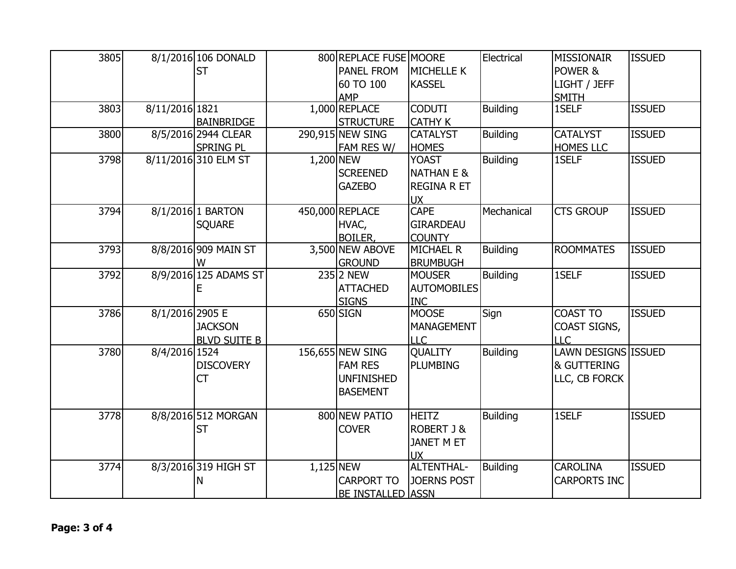| 3805 |                 | 8/1/2016 106 DONALD<br><b>ST</b>        |             | 800 REPLACE FUSE MOORE<br><b>PANEL FROM</b><br>60 TO 100<br>AMP            | <b>MICHELLE K</b><br><b>KASSEL</b>                                       | Electrical      | <b>MISSIONAIR</b><br>POWER &<br>LIGHT / JEFF<br><b>SMITH</b> | <b>ISSUED</b> |
|------|-----------------|-----------------------------------------|-------------|----------------------------------------------------------------------------|--------------------------------------------------------------------------|-----------------|--------------------------------------------------------------|---------------|
| 3803 | 8/11/2016 1821  | <b>BAINBRIDGE</b>                       |             | 1,000 REPLACE<br><b>STRUCTURE</b>                                          | <b>CODUTI</b><br><b>CATHY K</b>                                          | <b>Building</b> | 1SELF                                                        | <b>ISSUED</b> |
| 3800 |                 | 8/5/2016 2944 CLEAR<br><b>SPRING PL</b> |             | 290,915 NEW SING<br>FAM RES W/                                             | <b>CATALYST</b><br><b>HOMES</b>                                          | Building        | <b>CATALYST</b><br><b>HOMES LLC</b>                          | <b>ISSUED</b> |
| 3798 |                 | 8/11/2016 310 ELM ST                    | 1,200 NEW   | <b>SCREENED</b><br><b>GAZEBO</b>                                           | <b>YOAST</b><br><b>NATHAN E &amp;</b><br><b>REGINA R ET</b><br><b>UX</b> | <b>Building</b> | 1SELF                                                        | <b>ISSUED</b> |
| 3794 |                 | 8/1/2016 1 BARTON<br><b>SQUARE</b>      |             | 450,000 REPLACE<br>HVAC,<br><b>BOILER,</b>                                 | <b>CAPE</b><br><b>GIRARDEAU</b><br><b>COUNTY</b>                         | Mechanical      | <b>CTS GROUP</b>                                             | <b>ISSUED</b> |
| 3793 |                 | 8/8/2016 909 MAIN ST<br>w               |             | 3,500 NEW ABOVE<br><b>GROUND</b>                                           | <b>MICHAEL R</b><br><b>BRUMBUGH</b>                                      | <b>Building</b> | <b>ROOMMATES</b>                                             | <b>ISSUED</b> |
| 3792 |                 | 8/9/2016 125 ADAMS ST                   |             | 235 2 NEW<br><b>ATTACHED</b><br><b>SIGNS</b>                               | <b>MOUSER</b><br><b>AUTOMOBILES</b><br><b>INC</b>                        | <b>Building</b> | 1SELF                                                        | <b>ISSUED</b> |
| 3786 | 8/1/2016 2905 E | <b>JACKSON</b><br><b>BLVD SUITE B</b>   |             | 650 SIGN                                                                   | <b>MOOSE</b><br><b>MANAGEMENT</b><br><b>LLC</b>                          | Sign            | <b>COAST TO</b><br>COAST SIGNS,<br><b>LLC</b>                | <b>ISSUED</b> |
| 3780 | 8/4/2016 1524   | <b>DISCOVERY</b><br><b>CT</b>           |             | 156,655 NEW SING<br><b>FAM RES</b><br><b>UNFINISHED</b><br><b>BASEMENT</b> | <b>QUALITY</b><br><b>PLUMBING</b>                                        | <b>Building</b> | LAWN DESIGNS ISSUED<br>& GUTTERING<br>LLC, CB FORCK          |               |
| 3778 |                 | 8/8/2016 512 MORGAN<br><b>ST</b>        |             | 800 NEW PATIO<br><b>COVER</b>                                              | <b>HEITZ</b><br><b>ROBERT J &amp;</b><br><b>JANET M ET</b><br><b>UX</b>  | Building        | 1SELF                                                        | <b>ISSUED</b> |
| 3774 |                 | 8/3/2016 319 HIGH ST<br>N               | $1,125$ NEW | <b>CARPORT TO</b><br><b>BE INSTALLED ASSN</b>                              | <b>ALTENTHAL-</b><br><b>JOERNS POST</b>                                  | Building        | <b>CAROLINA</b><br><b>CARPORTS INC</b>                       | <b>ISSUED</b> |